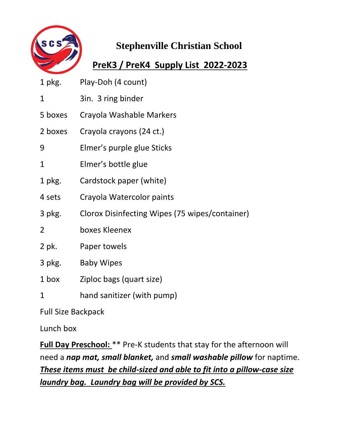

#### **PreK3 / PreK4 Supply List 2022-2023**

| 1 pkg.       | Play-Doh (4 count)                             |
|--------------|------------------------------------------------|
| $\mathbf{1}$ | 3in. 3 ring binder                             |
| 5 boxes      | Crayola Washable Markers                       |
| 2 boxes      | Crayola crayons (24 ct.)                       |
| 9            | Elmer's purple glue Sticks                     |
| 1            | Elmer's bottle glue                            |
| 1 pkg.       | Cardstock paper (white)                        |
| 4 sets       | Crayola Watercolor paints                      |
| 3 pkg.       | Clorox Disinfecting Wipes (75 wipes/container) |
| 2            | boxes Kleenex                                  |
| 2 pk.        | Paper towels                                   |
| 3 pkg.       | <b>Baby Wipes</b>                              |
| 1 box        | Ziploc bags (quart size)                       |
| $\mathbf{1}$ | hand sanitizer (with pump)                     |

Full Size Backpack

Lunch box

**Full Day Preschool:** \*\* Pre-K students that stay for the afternoon will need a *nap mat, small blanket,* and *small washable pillow* for naptime. *These items must be child-sized and able to fit into a pillow-case size laundry bag. Laundry bag will be provided by SCS.*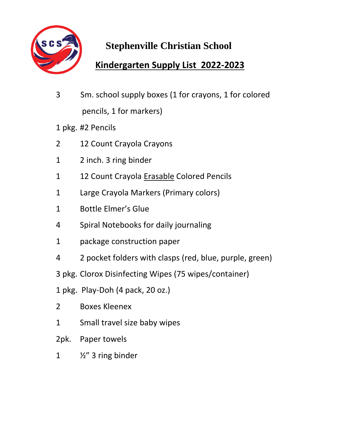

#### **Kindergarten Supply List 2022-2023**

- 3 Sm. school supply boxes (1 for crayons, 1 for colored pencils, 1 for markers)
- 1 pkg. #2 Pencils
- 2 12 Count Crayola Crayons
- 1 2 inch. 3 ring binder
- 1 12 Count Crayola Erasable Colored Pencils
- 1 Large Crayola Markers (Primary colors)
- 1 Bottle Elmer's Glue
- 4 Spiral Notebooks for daily journaling
- 1 package construction paper
- 4 2 pocket folders with clasps (red, blue, purple, green)
- 3 pkg. Clorox Disinfecting Wipes (75 wipes/container)
- 1 pkg. Play-Doh (4 pack, 20 oz.)
- 2 Boxes Kleenex
- 1 Small travel size baby wipes
- 2pk. Paper towels
- 1  $\frac{1}{2}$   $\frac{1}{2}$  ing binder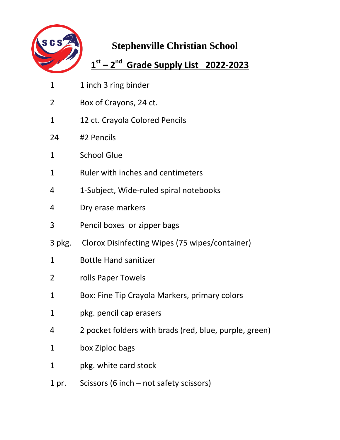

#### **1 st – 2 nd Grade Supply List 2022-2023**

- 1 1 inch 3 ring binder
- 2 Box of Crayons, 24 ct.
- 1 12 ct. Crayola Colored Pencils
- 24 #2 Pencils
- 1 School Glue
- 1 Ruler with inches and centimeters
- 4 1-Subject, Wide-ruled spiral notebooks
- 4 Dry erase markers
- 3 Pencil boxes or zipper bags
- 3 pkg. Clorox Disinfecting Wipes (75 wipes/container)
- 1 Bottle Hand sanitizer
- 2 rolls Paper Towels
- 1 Box: Fine Tip Crayola Markers, primary colors
- 1 pkg. pencil cap erasers
- 4 2 pocket folders with brads (red, blue, purple, green)
- 1 box Ziploc bags
- 1 pkg. white card stock
- 1 pr. Scissors (6 inch not safety scissors)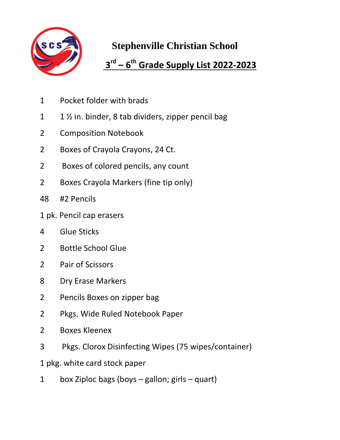

#### **rd – 6 th Grade Supply List 2022-2023**

- Pocket folder with brads
- 1 1  $\frac{1}{2}$  in. binder, 8 tab dividers, zipper pencil bag
- Composition Notebook
- Boxes of Crayola Crayons, 24 Ct.
- Boxes of colored pencils, any count
- 2 Boxes Crayola Markers (fine tip only)
- #2 Pencils
- 1 pk. Pencil cap erasers
- Glue Sticks
- Bottle School Glue
- Pair of Scissors
- Dry Erase Markers
- Pencils Boxes on zipper bag
- Pkgs. Wide Ruled Notebook Paper
- Boxes Kleenex
- Pkgs. Clorox Disinfecting Wipes (75 wipes/container)
- 1 pkg. white card stock paper
- box Ziploc bags (boys gallon; girls quart)